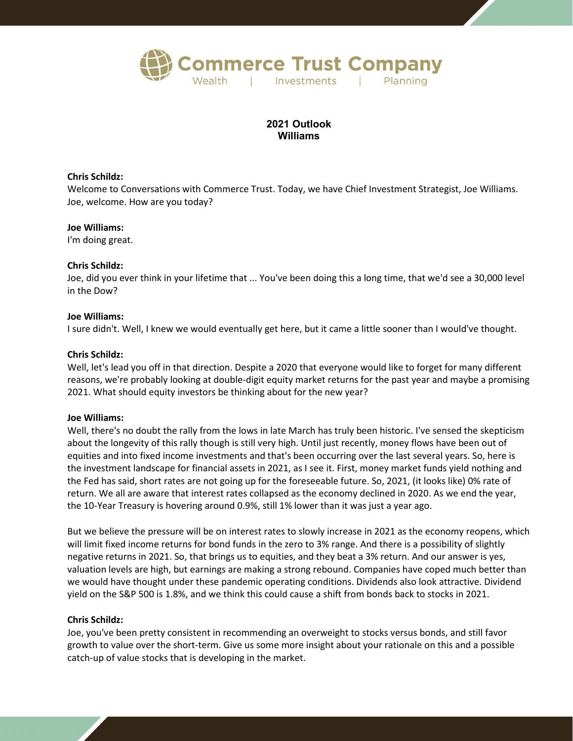

# **2021 Outlook Williams**

## **Chris Schildz:**

Welcome to Conversations with Commerce Trust. Today, we have Chief Investment Strategist, Joe Williams. Joe, welcome. How are you today?

## **Joe Williams:**

I'm doing great.

# **Chris Schildz:**

Joe, did you ever think in your lifetime that ... You've been doing this a long time, that we'd see a 30,000 level in the Dow?

## **Joe Williams:**

I sure didn't. Well, I knew we would eventually get here, but it came a little sooner than I would've thought.

# **Chris Schildz:**

Well, let's lead you off in that direction. Despite a 2020 that everyone would like to forget for many different reasons, we're probably looking at double-digit equity market returns for the past year and maybe a promising 2021. What should equity investors be thinking about for the new year?

# **Joe Williams:**

Well, there's no doubt the rally from the lows in late March has truly been historic. I've sensed the skepticism about the longevity of this rally though is still very high. Until just recently, money flows have been out of equities and into fixed income investments and that's been occurring over the last several years. So, here is the investment landscape for financial assets in 2021, as I see it. First, money market funds yield nothing and the Fed has said, short rates are not going up for the foreseeable future. So, 2021, (it looks like) 0% rate of return. We all are aware that interest rates collapsed as the economy declined in 2020. As we end the year, the 10-Year Treasury is hovering around 0.9%, still 1% lower than it was just a year ago.

But we believe the pressure will be on interest rates to slowly increase in 2021 as the economy reopens, which will limit fixed income returns for bond funds in the zero to 3% range. And there is a possibility of slightly negative returns in 2021. So, that brings us to equities, and they beat a 3% return. And our answer is yes, valuation levels are high, but earnings are making a strong rebound. Companies have coped much better than we would have thought under these pandemic operating conditions. Dividends also look attractive. Dividend yield on the S&P 500 is 1.8%, and we think this could cause a shift from bonds back to stocks in 2021.

## **Chris Schildz:**

Joe, you've been pretty consistent in recommending an overweight to stocks versus bonds, and still favor growth to value over the short-term. Give us some more insight about your rationale on this and a possible catch-up of value stocks that is developing in the market.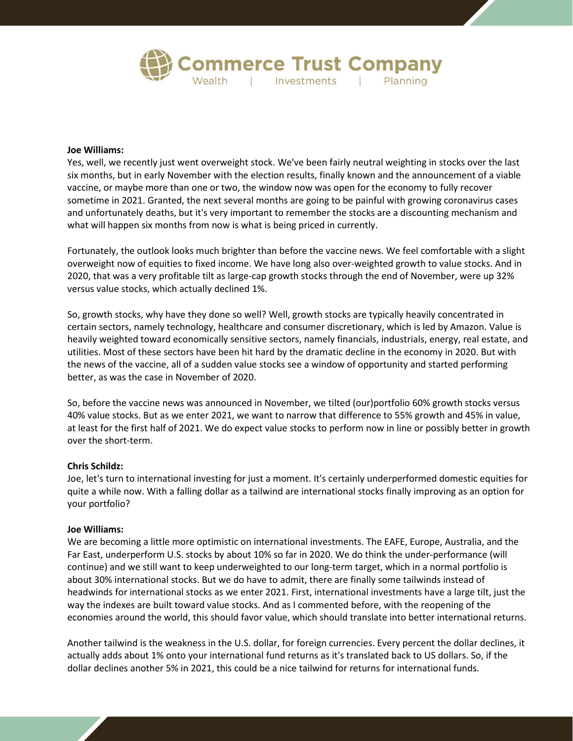

# **Joe Williams:**

Yes, well, we recently just went overweight stock. We've been fairly neutral weighting in stocks over the last six months, but in early November with the election results, finally known and the announcement of a viable vaccine, or maybe more than one or two, the window now was open for the economy to fully recover sometime in 2021. Granted, the next several months are going to be painful with growing coronavirus cases and unfortunately deaths, but it's very important to remember the stocks are a discounting mechanism and what will happen six months from now is what is being priced in currently.

Fortunately, the outlook looks much brighter than before the vaccine news. We feel comfortable with a slight overweight now of equities to fixed income. We have long also over-weighted growth to value stocks. And in 2020, that was a very profitable tilt as large-cap growth stocks through the end of November, were up 32% versus value stocks, which actually declined 1%.

So, growth stocks, why have they done so well? Well, growth stocks are typically heavily concentrated in certain sectors, namely technology, healthcare and consumer discretionary, which is led by Amazon. Value is heavily weighted toward economically sensitive sectors, namely financials, industrials, energy, real estate, and utilities. Most of these sectors have been hit hard by the dramatic decline in the economy in 2020. But with the news of the vaccine, all of a sudden value stocks see a window of opportunity and started performing better, as was the case in November of 2020.

So, before the vaccine news was announced in November, we tilted (our)portfolio 60% growth stocks versus 40% value stocks. But as we enter 2021, we want to narrow that difference to 55% growth and 45% in value, at least for the first half of 2021. We do expect value stocks to perform now in line or possibly better in growth over the short-term.

## **Chris Schildz:**

Joe, let's turn to international investing for just a moment. It's certainly underperformed domestic equities for quite a while now. With a falling dollar as a tailwind are international stocks finally improving as an option for your portfolio?

#### **Joe Williams:**

We are becoming a little more optimistic on international investments. The EAFE, Europe, Australia, and the Far East, underperform U.S. stocks by about 10% so far in 2020. We do think the under-performance (will continue) and we still want to keep underweighted to our long-term target, which in a normal portfolio is about 30% international stocks. But we do have to admit, there are finally some tailwinds instead of headwinds for international stocks as we enter 2021. First, international investments have a large tilt, just the way the indexes are built toward value stocks. And as I commented before, with the reopening of the economies around the world, this should favor value, which should translate into better international returns.

Another tailwind is the weakness in the U.S. dollar, for foreign currencies. Every percent the dollar declines, it actually adds about 1% onto your international fund returns as it's translated back to US dollars. So, if the dollar declines another 5% in 2021, this could be a nice tailwind for returns for international funds.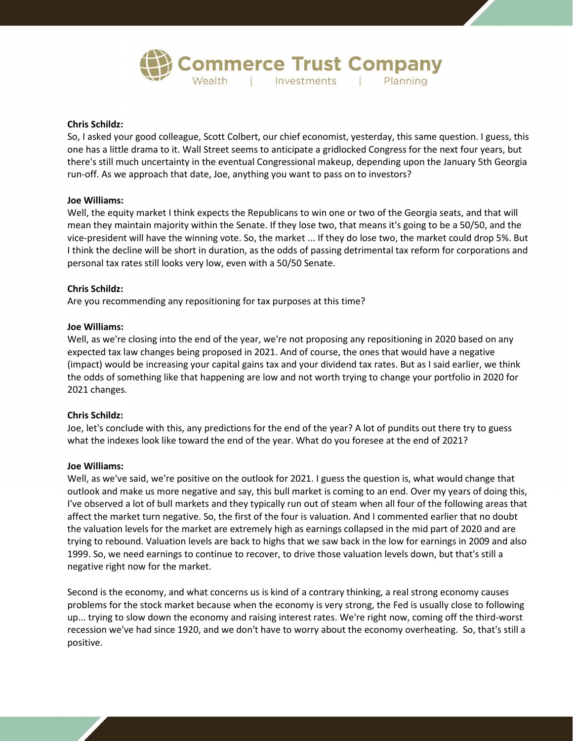

## **Chris Schildz:**

So, I asked your good colleague, Scott Colbert, our chief economist, yesterday, this same question. I guess, this one has a little drama to it. Wall Street seems to anticipate a gridlocked Congress for the next four years, but there's still much uncertainty in the eventual Congressional makeup, depending upon the January 5th Georgia run-off. As we approach that date, Joe, anything you want to pass on to investors?

## **Joe Williams:**

Well, the equity market I think expects the Republicans to win one or two of the Georgia seats, and that will mean they maintain majority within the Senate. If they lose two, that means it's going to be a 50/50, and the vice-president will have the winning vote. So, the market ... If they do lose two, the market could drop 5%. But I think the decline will be short in duration, as the odds of passing detrimental tax reform for corporations and personal tax rates still looks very low, even with a 50/50 Senate.

## **Chris Schildz:**

Are you recommending any repositioning for tax purposes at this time?

## **Joe Williams:**

Well, as we're closing into the end of the year, we're not proposing any repositioning in 2020 based on any expected tax law changes being proposed in 2021. And of course, the ones that would have a negative (impact) would be increasing your capital gains tax and your dividend tax rates. But as I said earlier, we think the odds of something like that happening are low and not worth trying to change your portfolio in 2020 for 2021 changes.

## **Chris Schildz:**

Joe, let's conclude with this, any predictions for the end of the year? A lot of pundits out there try to guess what the indexes look like toward the end of the year. What do you foresee at the end of 2021?

## **Joe Williams:**

Well, as we've said, we're positive on the outlook for 2021. I guess the question is, what would change that outlook and make us more negative and say, this bull market is coming to an end. Over my years of doing this, I've observed a lot of bull markets and they typically run out of steam when all four of the following areas that affect the market turn negative. So, the first of the four is valuation. And I commented earlier that no doubt the valuation levels for the market are extremely high as earnings collapsed in the mid part of 2020 and are trying to rebound. Valuation levels are back to highs that we saw back in the low for earnings in 2009 and also 1999. So, we need earnings to continue to recover, to drive those valuation levels down, but that's still a negative right now for the market.

Second is the economy, and what concerns us is kind of a contrary thinking, a real strong economy causes problems for the stock market because when the economy is very strong, the Fed is usually close to following up... trying to slow down the economy and raising interest rates. We're right now, coming off the third-worst recession we've had since 1920, and we don't have to worry about the economy overheating. So, that's still a positive.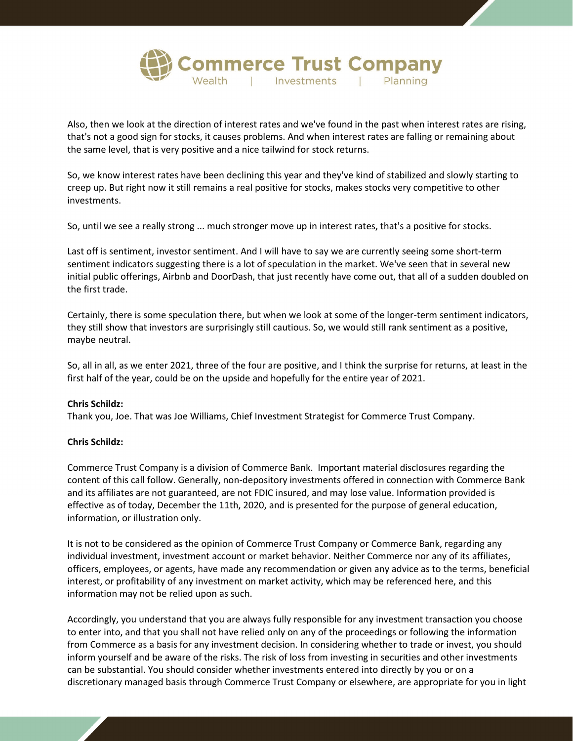

Also, then we look at the direction of interest rates and we've found in the past when interest rates are rising, that's not a good sign for stocks, it causes problems. And when interest rates are falling or remaining about the same level, that is very positive and a nice tailwind for stock returns.

So, we know interest rates have been declining this year and they've kind of stabilized and slowly starting to creep up. But right now it still remains a real positive for stocks, makes stocks very competitive to other investments.

So, until we see a really strong ... much stronger move up in interest rates, that's a positive for stocks.

Last off is sentiment, investor sentiment. And I will have to say we are currently seeing some short-term sentiment indicators suggesting there is a lot of speculation in the market. We've seen that in several new initial public offerings, Airbnb and DoorDash, that just recently have come out, that all of a sudden doubled on the first trade.

Certainly, there is some speculation there, but when we look at some of the longer-term sentiment indicators, they still show that investors are surprisingly still cautious. So, we would still rank sentiment as a positive, maybe neutral.

So, all in all, as we enter 2021, three of the four are positive, and I think the surprise for returns, at least in the first half of the year, could be on the upside and hopefully for the entire year of 2021.

## **Chris Schildz:**

Thank you, Joe. That was Joe Williams, Chief Investment Strategist for Commerce Trust Company.

# **Chris Schildz:**

Commerce Trust Company is a division of Commerce Bank. Important material disclosures regarding the content of this call follow. Generally, non-depository investments offered in connection with Commerce Bank and its affiliates are not guaranteed, are not FDIC insured, and may lose value. Information provided is effective as of today, December the 11th, 2020, and is presented for the purpose of general education, information, or illustration only.

It is not to be considered as the opinion of Commerce Trust Company or Commerce Bank, regarding any individual investment, investment account or market behavior. Neither Commerce nor any of its affiliates, officers, employees, or agents, have made any recommendation or given any advice as to the terms, beneficial interest, or profitability of any investment on market activity, which may be referenced here, and this information may not be relied upon as such.

Accordingly, you understand that you are always fully responsible for any investment transaction you choose to enter into, and that you shall not have relied only on any of the proceedings or following the information from Commerce as a basis for any investment decision. In considering whether to trade or invest, you should inform yourself and be aware of the risks. The risk of loss from investing in securities and other investments can be substantial. You should consider whether investments entered into directly by you or on a discretionary managed basis through Commerce Trust Company or elsewhere, are appropriate for you in light